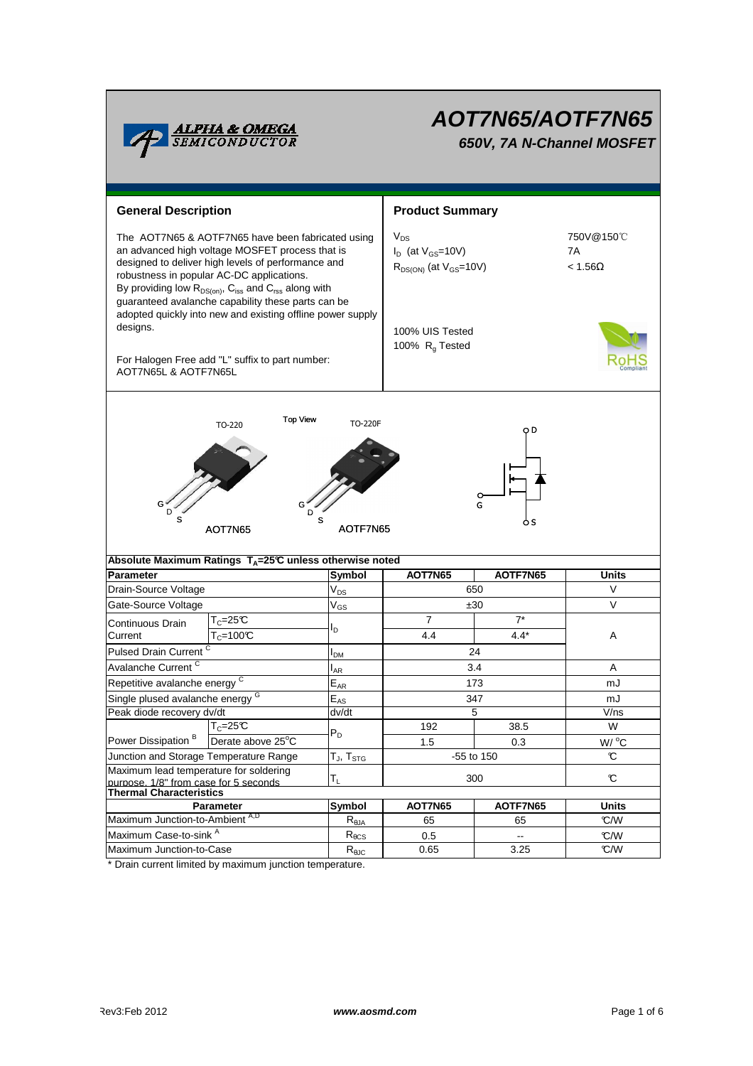

# **AOT7N65/AOTF7N65 650V, 7A N-Channel MOSFET**

**General Description Arrow Arrow Product Summary**  $V_{DS}$  $I_D$  (at  $V_{GS}$ =10V) 7A  $R_{DS(ON)}$  (at  $V_{GS}$ =10V)  $\leq 1.56\Omega$ 100% UIS Tested 100%  $R<sub>g</sub>$  Tested For Halogen Free add "L" suffix to part number: AOT7N65L & AOTF7N65L **Symbol** The AOT7N65 & AOTF7N65 have been fabricated using an advanced high voltage MOSFET process that is designed to deliver high levels of performance and robustness in popular AC-DC applications. By providing low  $R_{DS(on)}$ ,  $C_{iss}$  and  $C_{rss}$  along with guaranteed avalanche capability these parts can be adopted quickly into new and existing offline power supply designs. **Parameter Units AOT7N65 AOTF7N65 Absolute Maximum Ratings T<sub>A</sub>=25℃ unless otherwise noted** 750V@150℃  $TO-220$  Top View  $TO-220F$ G D S G D S G D S AOT7N65 AOTF7N65  $V_{DS}$  $V_{GS}$ IDM IAR **E**<sub>AR</sub>  $E_{AS}$ Peak diode recovery dv/dt dv/dt T $_{\mathsf{J}}$ , T $_{\mathsf{STG}}$ TL **Symbol**  $R_{\theta$ JA  $R_{\theta CS}$ R<sub>elC</sub> \* Drain current limited by maximum junction temperature. A W  $W^{\circ}C$  $\mathfrak{C}$ mJ V/ns  $\mathbf C$ Maximum Case-to-sink A Maximum Junction-to-Case mJ  $\overline{\mathcal{C}/\mathcal{W}}$ °C/W Derate above 25°C Parameter **AOT7N65 AOT7N65 AOTF7N65** Maximum lead temperature for soldering purpose, 1/8" from case for 5 seconds 5 192 38.5 Junction and Storage Temperature Range Maximum Junction-to-Ambient A,D Power Dissipation<sup>B</sup> V Drain-Source Voltage 650 Gate-Source Voltage  $T_{\text{C}} = 100^{\circ}\text{C}$  100°C a.4 a.4\* Pulsed Drain Current <sup>C</sup> and C<sub>low</sub> C<sub>low</sub> C<sub>24</sub> Continuous Drain **Current**  $T_c=25^\circ C$  ,  $\overline{7}$  $I_D$ 4.4 7\* 4.4\* ±30 V Avalanche Current <sup>C</sup> 173 Single plused avalanche energy 347 3.4 Repetitive avalanche energy <sup>C</sup>  $P_D$  $T_{C}$ =25°C **Thermal Characteristics** 300 -55 to 150 1.5 0.3 0.65 -- **Units** 65 °C/W 0.5 65 3.25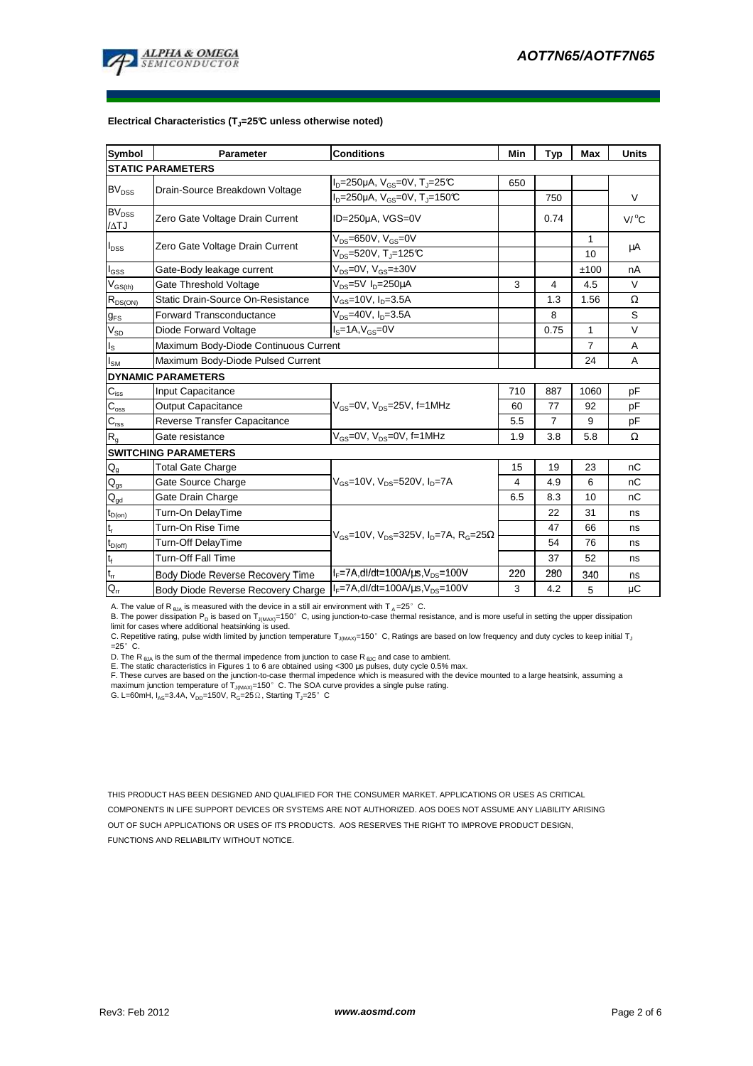

#### **Electrical Characteristics (TJ=25°C unless otherwise noted)**

| Symbol                                 | <b>Parameter</b>                      | <b>Conditions</b>                                                | Min            | <b>Typ</b>     | <b>Max</b>     | <b>Units</b> |
|----------------------------------------|---------------------------------------|------------------------------------------------------------------|----------------|----------------|----------------|--------------|
| <b>STATIC PARAMETERS</b>               |                                       |                                                                  |                |                |                |              |
| <b>BV<sub>DSS</sub></b>                | Drain-Source Breakdown Voltage        | $I_D = 250 \mu A$ , $V_{GS} = 0V$ , $T_J = 25 \text{°C}$         | 650            |                |                |              |
|                                        |                                       | $I_D = 250 \mu A$ , $V_{GS} = 0V$ , $T_J = 150 \text{°C}$        |                | 750            |                | $\vee$       |
| $\mathsf{BV}_{\mathtt{DSS}}$<br>/ATJ   | Zero Gate Voltage Drain Current       | ID=250µA, VGS=0V                                                 |                | 0.74           |                | V/°C         |
| $I_{DSS}$                              | Zero Gate Voltage Drain Current       | $V_{DS}=650V$ , $V_{GS}=0V$                                      |                |                | 1              | μA           |
|                                        |                                       | $V_{DS} = 520V$ , T <sub>J</sub> =125°C                          |                |                | 10             |              |
| $I_{GSS}$                              | Gate-Body leakage current             | $V_{DS} = 0V$ , $V_{GS} = \pm 30V$                               |                |                | ±100           | nA           |
| $V_{GS(th)}$                           | Gate Threshold Voltage                | $V_{DS} = 5V I_D = 250 \mu A$                                    | 3              | 4              | 4.5            | $\vee$       |
| $R_{DS(ON)}$                           | Static Drain-Source On-Resistance     | $V_{GS}$ =10V, $I_{D}$ =3.5A                                     |                | 1.3            | 1.56           | Ω            |
| $g_{FS}$                               | <b>Forward Transconductance</b>       | $V_{DS} = 40V$ , $I_{D} = 3.5A$                                  |                | 8              |                | S            |
| $V_{SD}$                               | Diode Forward Voltage                 | $Is=1A, VGS=0V$                                                  |                | 0.75           | $\mathbf{1}$   | $\vee$       |
| $I_{\rm S}$                            | Maximum Body-Diode Continuous Current |                                                                  |                |                | $\overline{7}$ | A            |
| $I_{SM}$                               | Maximum Body-Diode Pulsed Current     |                                                                  |                |                | 24             | A            |
| <b>DYNAMIC PARAMETERS</b>              |                                       |                                                                  |                |                |                |              |
| $\mathbf{C}_{\mathrm{iss}}$            | Input Capacitance                     | $V_{\text{GS}}$ =0V, $V_{\text{DS}}$ =25V, f=1MHz                | 710            | 887            | 1060           | pF           |
| $\mathbf{C}_{\mathrm{oss}}$            | <b>Output Capacitance</b>             |                                                                  | 60             | 77             | 92             | pF           |
| $\mathbf{C}_{\mathrm{rss}}$            | Reverse Transfer Capacitance          |                                                                  | 5.5            | $\overline{7}$ | 9              | pF           |
| R <sub>g</sub>                         | Gate resistance                       | $V_{\text{GS}} = 0V$ , $V_{\text{DS}} = 0V$ , f=1MHz             | 1.9            | 3.8            | 5.8            | Ω            |
| <b>SWITCHING PARAMETERS</b>            |                                       |                                                                  |                |                |                |              |
| $\mathsf{Q}_{\mathsf{g}}$              | <b>Total Gate Charge</b>              | $V_{gs}$ =10V, $V_{ps}$ =520V, $I_{p}$ =7A                       | 15             | 19             | 23             | nC           |
| $\mathsf{Q}_{\underline{\mathsf{gs}}}$ | Gate Source Charge                    |                                                                  | $\overline{4}$ | 4.9            | 6              | nC           |
| $\mathsf{Q}_{\underline{\mathsf{gd}}}$ | Gate Drain Charge                     |                                                                  | 6.5            | 8.3            | 10             | nC           |
| $t_{D(on)}$                            | Turn-On DelayTime                     | $V_{GS}$ =10V, $V_{DS}$ =325V, $I_{D}$ =7A, $R_{G}$ =25 $\Omega$ |                | 22             | 31             | ns           |
| $t_{r}$                                | Turn-On Rise Time                     |                                                                  |                | 47             | 66             | ns           |
| $t_{D(off)}$                           | <b>Turn-Off DelayTime</b>             |                                                                  |                | 54             | 76             | ns           |
| $t_f$                                  | <b>Turn-Off Fall Time</b>             |                                                                  |                | 37             | 52             | ns           |
| $t_{rr}$                               | Body Diode Reverse Recovery Time      | $I_F$ =7A,dl/dt=100A/ $\mu$ s, $V_{DS}$ =100V                    | 220            | 280            | 340            | ns           |
| G.                                     | Body Diode Reverse Recovery Charge    | $I_F = 7A$ , dl/dt=100A/ $\mu$ s, V <sub>DS</sub> =100V          | 3              | 4.2            | 5              | μC           |

A. The value of R<sub> $\theta$ JA</sub> is measured with the device in a still air environment with T<sub>A</sub>=25°C.

B. The power dissipation P<sub>D</sub> is based on T<sub>J(MAX)</sub>=150°C, using junction-to-case thermal resistance, and is more useful in setting the upper dissipation<br>limit for cases where additional heatsinking is used.<br>C. Repetitive

 $=25^\circ$  C.

D. The R  $_{\theta$ JA is the sum of the thermal impedence from junction to case R  $_{\theta$ JC and case to ambient.

E. The static characteristics in Figures 1 to 6 are obtained using <300 µs pulses, duty cycle 0.5% max.<br>F. These curves are based on the junction-to-case thermal impedence which is measured with the device mounted to a la

G. L=60mH,  $I_{AS}$ =3.4A,  $V_{DD}$ =150V,  $R_G$ =25 $\Omega$ , Starting T<sub>J</sub>=25° C

THIS PRODUCT HAS BEEN DESIGNED AND QUALIFIED FOR THE CONSUMER MARKET. APPLICATIONS OR USES AS CRITICAL COMPONENTS IN LIFE SUPPORT DEVICES OR SYSTEMS ARE NOT AUTHORIZED. AOS DOES NOT ASSUME ANY LIABILITY ARISING OUT OF SUCH APPLICATIONS OR USES OF ITS PRODUCTS. AOS RESERVES THE RIGHT TO IMPROVE PRODUCT DESIGN, FUNCTIONS AND RELIABILITY WITHOUT NOTICE.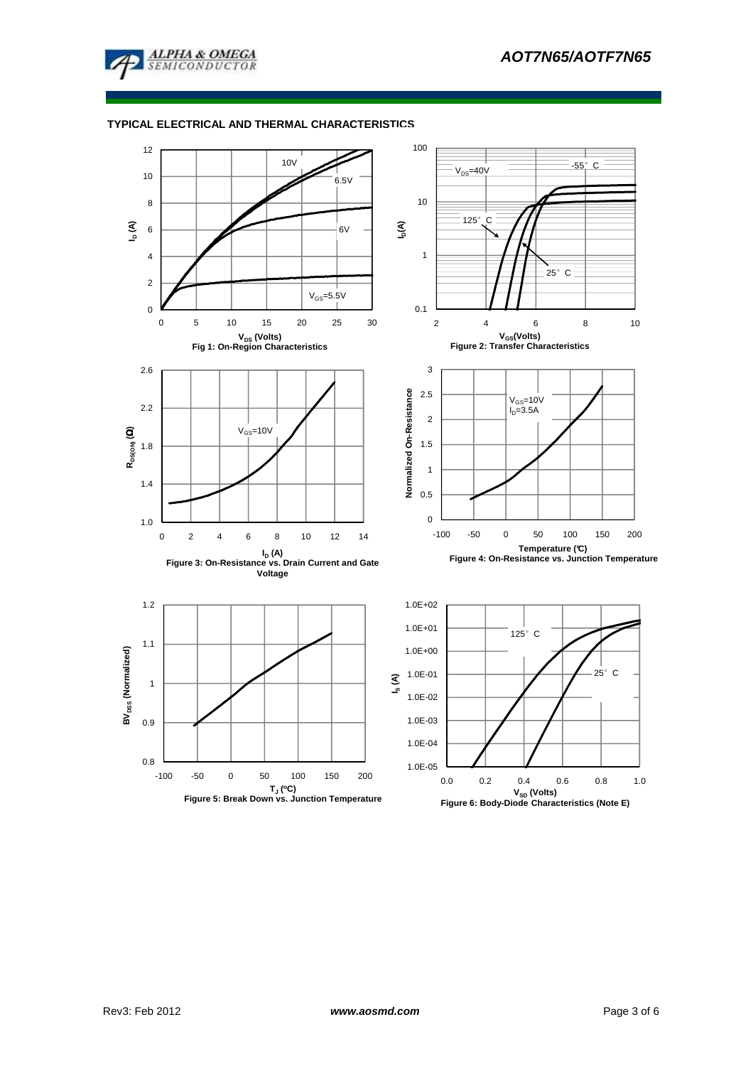

# **TYPICAL ELECTRICAL AND THERMAL CHARACTERISTICS**



**VSD (Volts) Figure 6: Body-Diode Characteristics (Note E)**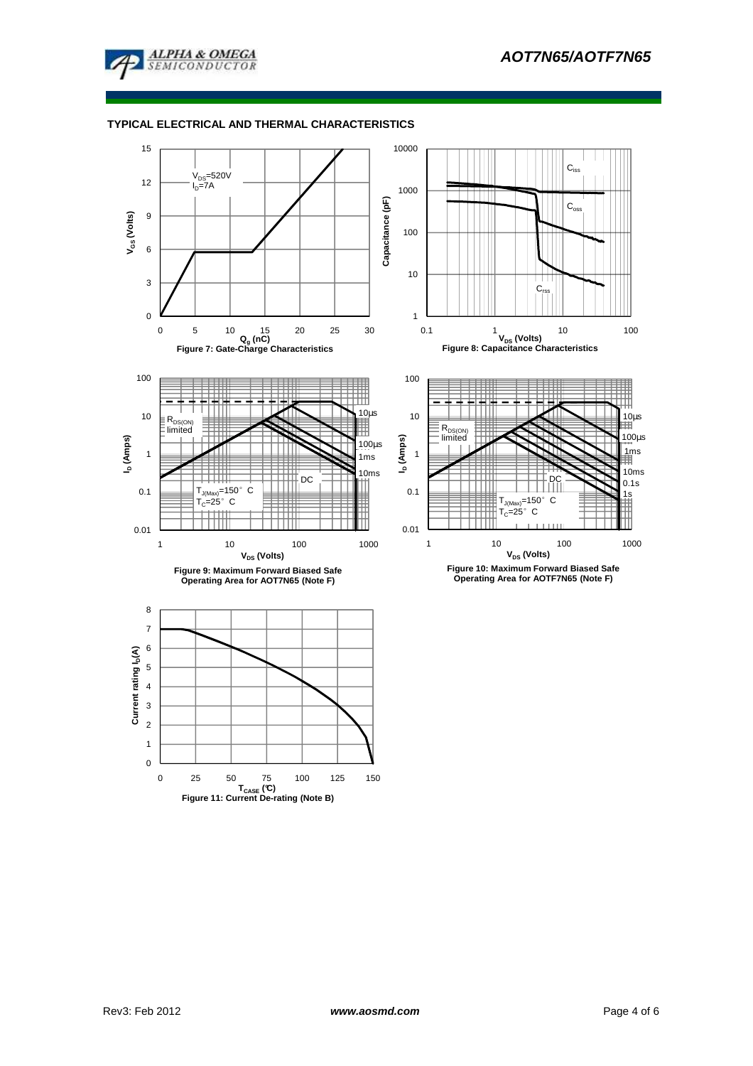

# **TYPICAL ELECTRICAL AND THERMAL CHARACTERISTICS**

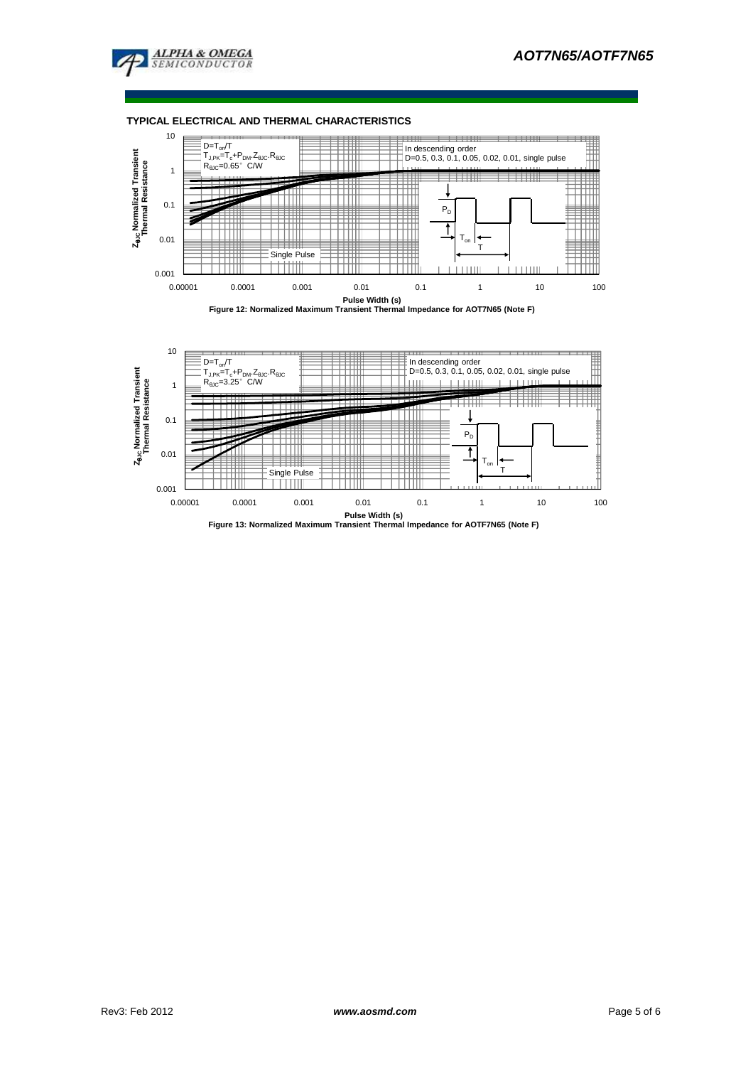

**TYPICAL ELECTRICAL AND THERMAL CHARACTERISTICS**